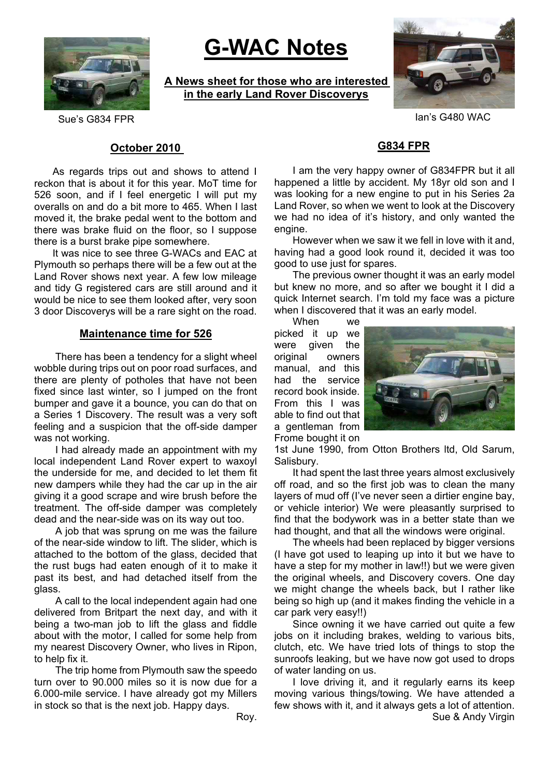

# **G-WAC Notes**

**A News sheet for those who are interested in the early Land Rover Discoverys**



Sue's G834 FPR Is a structure of the Sue Sue Sue States of the Ian's G480 WAC

### **October 2010**

As regards trips out and shows to attend I reckon that is about it for this year. MoT time for 526 soon, and if I feel energetic I will put my overalls on and do a bit more to 465. When I last moved it, the brake pedal went to the bottom and there was brake fluid on the floor, so I suppose there is a burst brake pipe somewhere.

It was nice to see three G-WACs and EAC at Plymouth so perhaps there will be a few out at the Land Rover shows next year. A few low mileage and tidy G registered cars are still around and it would be nice to see them looked after, very soon 3 door Discoverys will be a rare sight on the road.

#### **Maintenance time for 526**

There has been a tendency for a slight wheel wobble during trips out on poor road surfaces, and there are plenty of potholes that have not been fixed since last winter, so I jumped on the front bumper and gave it a bounce, you can do that on a Series 1 Discovery. The result was a very soft feeling and a suspicion that the off-side damper was not working.

I had already made an appointment with my local independent Land Rover expert to waxoyl the underside for me, and decided to let them fit new dampers while they had the car up in the air giving it a good scrape and wire brush before the treatment. The off-side damper was completely dead and the near-side was on its way out too.

A job that was sprung on me was the failure of the near-side window to lift. The slider, which is attached to the bottom of the glass, decided that the rust bugs had eaten enough of it to make it past its best, and had detached itself from the glass.

A call to the local independent again had one delivered from Britpart the next day, and with it being a two-man job to lift the glass and fiddle about with the motor, I called for some help from my nearest Discovery Owner, who lives in Ripon, to help fix it.

The trip home from Plymouth saw the speedo turn over to 90.000 miles so it is now due for a 6.000-mile service. I have already got my Millers in stock so that is the next job. Happy days.

I am the very happy owner of G834FPR but it all happened a little by accident. My 18yr old son and I was looking for a new engine to put in his Series 2a Land Rover, so when we went to look at the Discovery we had no idea of it's history, and only wanted the engine.

**G834 FPR**

However when we saw it we fell in love with it and, having had a good look round it, decided it was too good to use just for spares.

The previous owner thought it was an early model but knew no more, and so after we bought it I did a quick Internet search. I'm told my face was a picture when I discovered that it was an early model.

When we picked it up we were given the original owners manual, and this had the service record book inside. From this I was able to find out that a gentleman from Frome bought it on



1st June 1990, from Otton Brothers ltd, Old Sarum, Salisbury.

It had spent the last three years almost exclusively off road, and so the first job was to clean the many layers of mud off (I've never seen a dirtier engine bay, or vehicle interior) We were pleasantly surprised to find that the bodywork was in a better state than we had thought, and that all the windows were original.

The wheels had been replaced by bigger versions (I have got used to leaping up into it but we have to have a step for my mother in law!!) but we were given the original wheels, and Discovery covers. One day we might change the wheels back, but I rather like being so high up (and it makes finding the vehicle in a car park very easy!!)

Since owning it we have carried out quite a few jobs on it including brakes, welding to various bits, clutch, etc. We have tried lots of things to stop the sunroofs leaking, but we have now got used to drops of water landing on us.

I love driving it, and it regularly earns its keep moving various things/towing. We have attended a few shows with it, and it always gets a lot of attention. Sue & Andy Virgin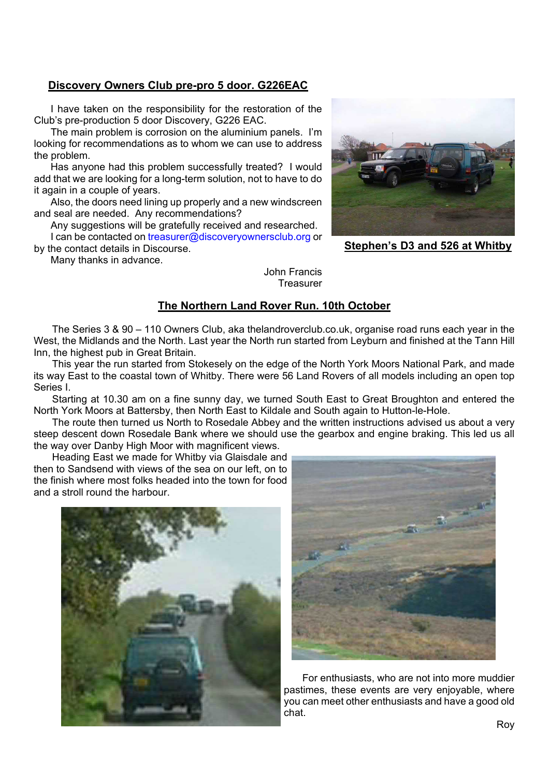### **Discovery Owners Club pre-pro 5 door. G226EAC**

I have taken on the responsibility for the restoration of the Club's pre-production 5 door Discovery, G226 EAC.

The main problem is corrosion on the aluminium panels. I'm looking for recommendations as to whom we can use to address the problem.

Has anyone had this problem successfully treated? I would add that we are looking for a long-term solution, not to have to do it again in a couple of years.

Also, the doors need lining up properly and a new windscreen and seal are needed. Any recommendations?

Any suggestions will be gratefully received and researched. I can be contacted on treasurer@discoveryownersclub.org or

by the contact details in Discourse.

Many thanks in advance.

John Francis **Treasurer** 

## **The Northern Land Rover Run. 10th October**

The Series 3 & 90 – 110 Owners Club, aka thelandroverclub.co.uk, organise road runs each year in the West, the Midlands and the North. Last year the North run started from Leyburn and finished at the Tann Hill Inn, the highest pub in Great Britain.

This year the run started from Stokesely on the edge of the North York Moors National Park, and made its way East to the coastal town of Whitby. There were 56 Land Rovers of all models including an open top Series I.

Starting at 10.30 am on a fine sunny day, we turned South East to Great Broughton and entered the North York Moors at Battersby, then North East to Kildale and South again to Hutton-le-Hole.

The route then turned us North to Rosedale Abbey and the written instructions advised us about a very steep descent down Rosedale Bank where we should use the gearbox and engine braking. This led us all the way over Danby High Moor with magnificent views.

Heading East we made for Whitby via Glaisdale and then to Sandsend with views of the sea on our left, on to the finish where most folks headed into the town for food and a stroll round the harbour.





For enthusiasts, who are not into more muddier pastimes, these events are very enjoyable, where you can meet other enthusiasts and have a good old chat.



**Stephen's D3 and 526 at Whitby**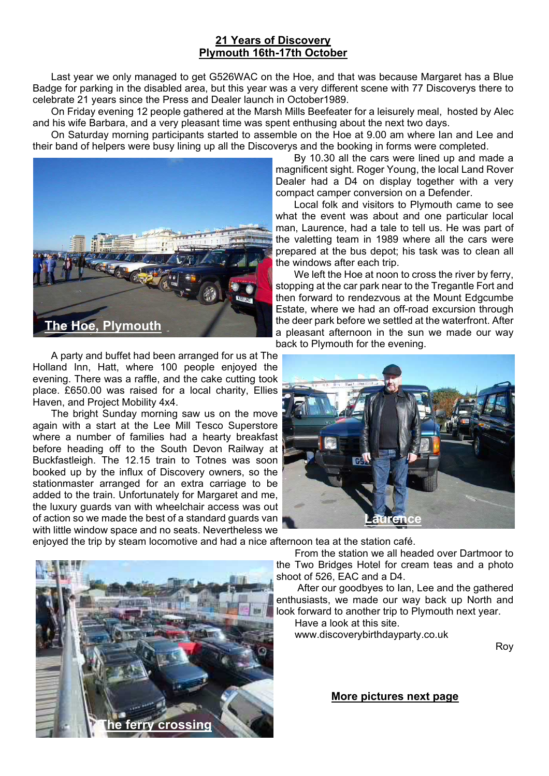## **21 Years of Discovery Plymouth 16th-17th October**

Last year we only managed to get G526WAC on the Hoe, and that was because Margaret has a Blue Badge for parking in the disabled area, but this year was a very different scene with 77 Discoverys there to celebrate 21 years since the Press and Dealer launch in October1989.

On Friday evening 12 people gathered at the Marsh Mills Beefeater for a leisurely meal, hosted by Alec and his wife Barbara, and a very pleasant time was spent enthusing about the next two days.

On Saturday morning participants started to assemble on the Hoe at 9.00 am where Ian and Lee and their band of helpers were busy lining up all the Discoverys and the booking in forms were completed.



A party and buffet had been arranged for us at The Holland Inn, Hatt, where 100 people enjoyed the evening. There was a raffle, and the cake cutting took place. £650.00 was raised for a local charity, Ellies Haven, and Project Mobility 4x4.

The bright Sunday morning saw us on the move again with a start at the Lee Mill Tesco Superstore where a number of families had a hearty breakfast before heading off to the South Devon Railway at Buckfastleigh. The 12.15 train to Totnes was soon booked up by the influx of Discovery owners, so the stationmaster arranged for an extra carriage to be added to the train. Unfortunately for Margaret and me, the luxury guards van with wheelchair access was out of action so we made the best of a standard guards van with little window space and no seats. Nevertheless we

By 10.30 all the cars were lined up and made a magnificent sight. Roger Young, the local Land Rover Dealer had a D4 on display together with a very compact camper conversion on a Defender.

Local folk and visitors to Plymouth came to see what the event was about and one particular local man, Laurence, had a tale to tell us. He was part of the valetting team in 1989 where all the cars were prepared at the bus depot; his task was to clean all the windows after each trip.

We left the Hoe at noon to cross the river by ferry, stopping at the car park near to the Tregantle Fort and then forward to rendezvous at the Mount Edgcumbe Estate, where we had an off-road excursion through the deer park before we settled at the waterfront. After a pleasant afternoon in the sun we made our way back to Plymouth for the evening.



enjoyed the trip by steam locomotive and had a nice afternoon tea at the station café.



After our goodbyes to Ian, Lee and the gathered enthusiasts, we made our way back up North and look forward to another trip to Plymouth next year.

Have a look at this site. www.discoverybirthdayparty.co.uk

Roy

**More pictures next page**

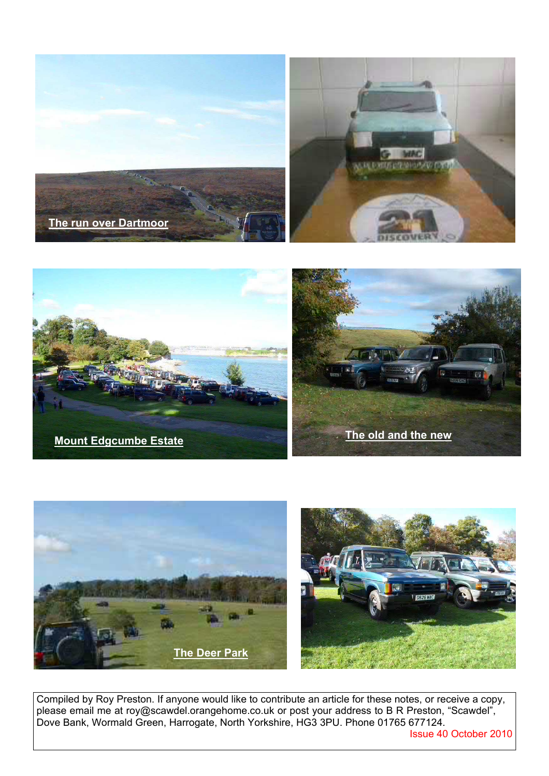





Compiled by Roy Preston. If anyone would like to contribute an article for these notes, or receive a copy, please email me at roy@scawdel.orangehome.co.uk or post your address to B R Preston, "Scawdel", Dove Bank, Wormald Green, Harrogate, North Yorkshire, HG3 3PU. Phone 01765 677124.

Issue 40 October 2010